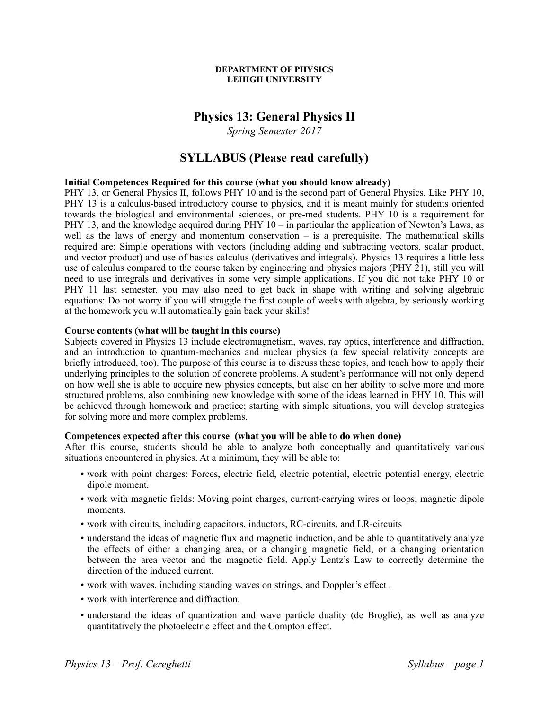#### **DEPARTMENT OF PHYSICS LEHIGH UNIVERSITY**

# **Physics 13: General Physics II**

*Spring Semester 2017*

# **SYLLABUS (Please read carefully)**

## **Initial Competences Required for this course (what you should know already)**

PHY 13, or General Physics II, follows PHY 10 and is the second part of General Physics. Like PHY 10, PHY 13 is a calculus-based introductory course to physics, and it is meant mainly for students oriented towards the biological and environmental sciences, or pre-med students. PHY 10 is a requirement for PHY 13, and the knowledge acquired during PHY 10 – in particular the application of Newton's Laws, as well as the laws of energy and momentum conservation – is a prerequisite. The mathematical skills required are: Simple operations with vectors (including adding and subtracting vectors, scalar product, and vector product) and use of basics calculus (derivatives and integrals). Physics 13 requires a little less use of calculus compared to the course taken by engineering and physics majors (PHY 21), still you will need to use integrals and derivatives in some very simple applications. If you did not take PHY 10 or PHY 11 last semester, you may also need to get back in shape with writing and solving algebraic equations: Do not worry if you will struggle the first couple of weeks with algebra, by seriously working at the homework you will automatically gain back your skills!

#### **Course contents (what will be taught in this course)**

Subjects covered in Physics 13 include electromagnetism, waves, ray optics, interference and diffraction, and an introduction to quantum-mechanics and nuclear physics (a few special relativity concepts are briefly introduced, too). The purpose of this course is to discuss these topics, and teach how to apply their underlying principles to the solution of concrete problems. A student's performance will not only depend on how well she is able to acquire new physics concepts, but also on her ability to solve more and more structured problems, also combining new knowledge with some of the ideas learned in PHY 10. This will be achieved through homework and practice; starting with simple situations, you will develop strategies for solving more and more complex problems.

#### **Competences expected after this course (what you will be able to do when done)**

After this course, students should be able to analyze both conceptually and quantitatively various situations encountered in physics. At a minimum, they will be able to:

- work with point charges: Forces, electric field, electric potential, electric potential energy, electric dipole moment.
- work with magnetic fields: Moving point charges, current-carrying wires or loops, magnetic dipole moments.
- work with circuits, including capacitors, inductors, RC-circuits, and LR-circuits
- understand the ideas of magnetic flux and magnetic induction, and be able to quantitatively analyze the effects of either a changing area, or a changing magnetic field, or a changing orientation between the area vector and the magnetic field. Apply Lentz's Law to correctly determine the direction of the induced current.
- work with waves, including standing waves on strings, and Doppler's effect .
- work with interference and diffraction.
- understand the ideas of quantization and wave particle duality (de Broglie), as well as analyze quantitatively the photoelectric effect and the Compton effect.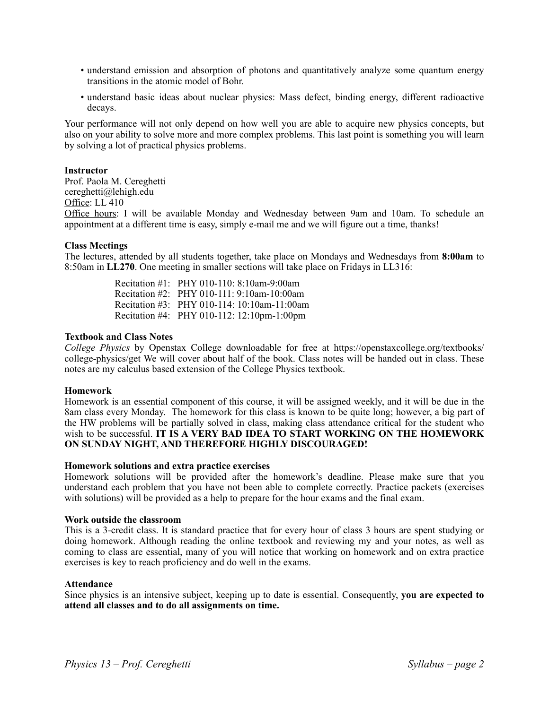- understand emission and absorption of photons and quantitatively analyze some quantum energy transitions in the atomic model of Bohr.
- understand basic ideas about nuclear physics: Mass defect, binding energy, different radioactive decays.

Your performance will not only depend on how well you are able to acquire new physics concepts, but also on your ability to solve more and more complex problems. This last point is something you will learn by solving a lot of practical physics problems.

# **Instructor**

Prof. Paola M. Cereghetti cereghetti@lehigh.edu Office: LL 410 Office hours: I will be available Monday and Wednesday between 9am and 10am. To schedule an appointment at a different time is easy, simply e-mail me and we will figure out a time, thanks!

#### **Class Meetings**

The lectures, attended by all students together, take place on Mondays and Wednesdays from **8:00am** to 8:50am in **LL270**. One meeting in smaller sections will take place on Fridays in LL316:

> Recitation #1: PHY 010-110: 8:10am-9:00am Recitation #2: PHY 010-111: 9:10am-10:00am Recitation #3: PHY 010-114: 10:10am-11:00am Recitation #4: PHY 010-112: 12:10pm-1:00pm

#### **Textbook and Class Notes**

*College Physics* by Openstax College downloadable for free at https://openstaxcollege.org/textbooks/ college-physics/get We will cover about half of the book. Class notes will be handed out in class. These notes are my calculus based extension of the College Physics textbook.

#### **Homework**

Homework is an essential component of this course, it will be assigned weekly, and it will be due in the 8am class every Monday. The homework for this class is known to be quite long; however, a big part of the HW problems will be partially solved in class, making class attendance critical for the student who wish to be successful. **IT IS A VERY BAD IDEA TO START WORKING ON THE HOMEWORK ON SUNDAY NIGHT, AND THEREFORE HIGHLY DISCOURAGED!**

#### **Homework solutions and extra practice exercises**

Homework solutions will be provided after the homework's deadline. Please make sure that you understand each problem that you have not been able to complete correctly. Practice packets (exercises with solutions) will be provided as a help to prepare for the hour exams and the final exam.

#### **Work outside the classroom**

This is a 3-credit class. It is standard practice that for every hour of class 3 hours are spent studying or doing homework. Although reading the online textbook and reviewing my and your notes, as well as coming to class are essential, many of you will notice that working on homework and on extra practice exercises is key to reach proficiency and do well in the exams.

#### **Attendance**

Since physics is an intensive subject, keeping up to date is essential. Consequently, **you are expected to attend all classes and to do all assignments on time.**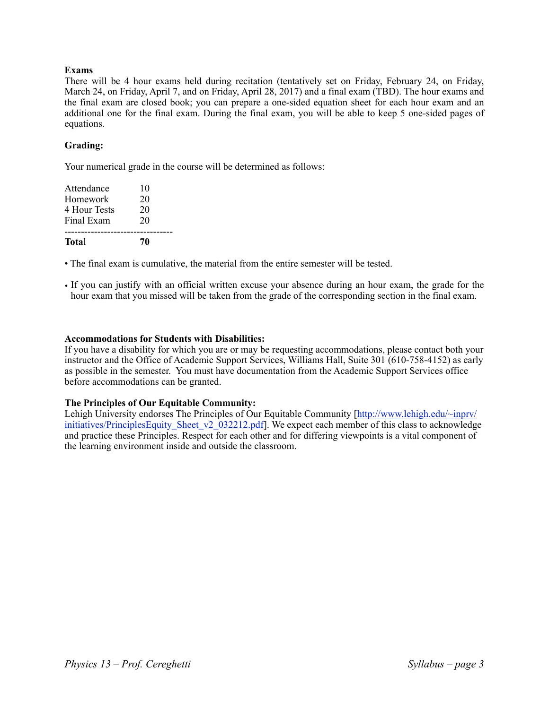# **Exams**

There will be 4 hour exams held during recitation (tentatively set on Friday, February 24, on Friday, March 24, on Friday, April 7, and on Friday, April 28, 2017) and a final exam (TBD). The hour exams and the final exam are closed book; you can prepare a one-sided equation sheet for each hour exam and an additional one for the final exam. During the final exam, you will be able to keep 5 one-sided pages of equations.

# **Grading:**

Your numerical grade in the course will be determined as follows:

| <b>Total</b> | 70 |  |
|--------------|----|--|
| Final Exam   | 20 |  |
| 4 Hour Tests | 20 |  |
| Homework     | 20 |  |
| Attendance   | 10 |  |

• The final exam is cumulative, the material from the entire semester will be tested.

• If you can justify with an official written excuse your absence during an hour exam, the grade for the hour exam that you missed will be taken from the grade of the corresponding section in the final exam.

## **Accommodations for Students with Disabilities:**

If you have a disability for which you are or may be requesting accommodations, please contact both your instructor and the Office of Academic Support Services, Williams Hall, Suite 301 (610-758-4152) as early as possible in the semester. You must have documentation from the Academic Support Services office before accommodations can be granted.

#### **The Principles of Our Equitable Community:**

Lehigh University endorses The Principles of Our Equitable Community [\[http://www.lehigh.edu/~inprv/](http://www.lehigh.edu/%7Einprv/initiatives/PrinciplesEquity_Sheet_v2_032212.pdf) [initiatives/PrinciplesEquity\\_Sheet\\_v2\\_032212.pdf](http://www.lehigh.edu/%7Einprv/initiatives/PrinciplesEquity_Sheet_v2_032212.pdf)]. We expect each member of this class to acknowledge and practice these Principles. Respect for each other and for differing viewpoints is a vital component of the learning environment inside and outside the classroom.